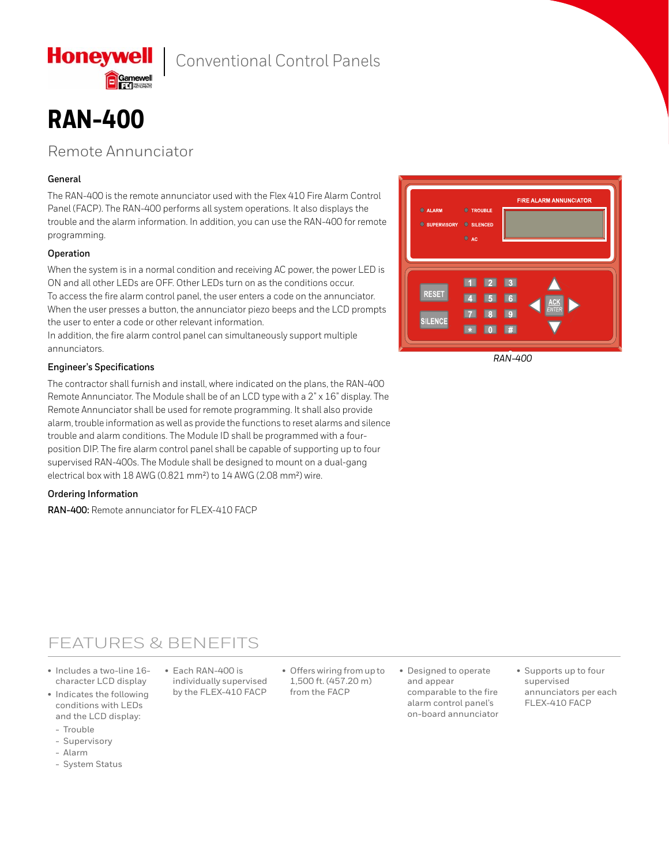

**Honeywell** 

### Remote Annunciator

### **General**

The RAN-400 is the remote annunciator used with the Flex 410 Fire Alarm Control Panel (FACP). The RAN-400 performs all system operations. It also displays the trouble and the alarm information. In addition, you can use the RAN-400 for remote programming.

### **Operation**

When the system is in a normal condition and receiving AC power, the power LED is ON and all other LEDs are OFF. Other LEDs turn on as the conditions occur. To access the fire alarm control panel, the user enters a code on the annunciator. When the user presses a button, the annunciator piezo beeps and the LCD prompts the user to enter a code or other relevant information.

In addition, the fire alarm control panel can simultaneously support multiple annunciators.

### **Engineer's Specifications**

The contractor shall furnish and install, where indicated on the plans, the RAN-400 Remote Annunciator. The Module shall be of an LCD type with a 2" x 16" display. The Remote Annunciator shall be used for remote programming. It shall also provide alarm, trouble information as well as provide the functions to reset alarms and silence trouble and alarm conditions. The Module ID shall be programmed with a fourposition DIP. The fire alarm control panel shall be capable of supporting up to four supervised RAN-400s. The Module shall be designed to mount on a dual-gang electrical box with 18 AWG (0.821 mm²) to 14 AWG (2.08 mm²) wire.

#### **Ordering Information**

**RAN-400:** Remote annunciator for FLEX-410 FACP



 *RAN-400*

## FEATURES & BENEFITS

- Includes a two-line 16 character LCD display
- Indicates the following conditions with LEDs and the LCD display:
	- Trouble
	- Supervisory
	- Alarm
	- System Status

• Each RAN-400 is individually supervised by the FLEX-410 FACP

• Offers wiring from up to 1,500 ft. (457.20 m) from the FACP

- Designed to operate and appear comparable to the fire alarm control panel's on-board annunciator
- Supports up to four supervised annunciators per each FLEX-410 FACP